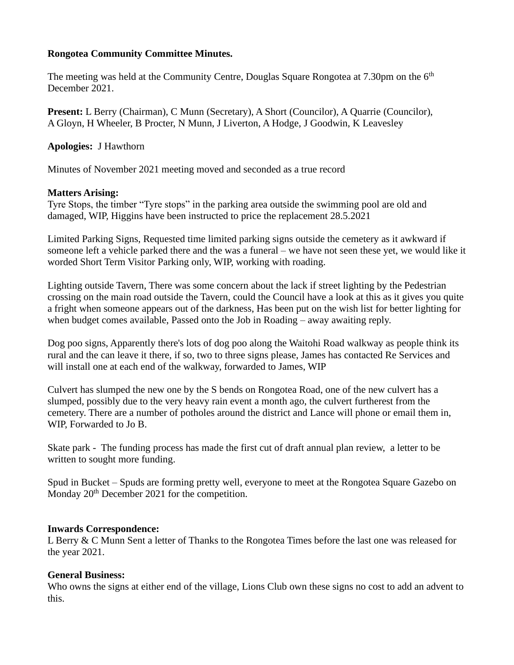## **Rongotea Community Committee Minutes.**

The meeting was held at the Community Centre, Douglas Square Rongotea at  $7.30 \text{pm}$  on the  $6<sup>th</sup>$ December 2021.

**Present:** L Berry (Chairman), C Munn (Secretary), A Short (Councilor), A Quarrie (Councilor), A Gloyn, H Wheeler, B Procter, N Munn, J Liverton, A Hodge, J Goodwin, K Leavesley

**Apologies:** J Hawthorn

Minutes of November 2021 meeting moved and seconded as a true record

## **Matters Arising:**

Tyre Stops, the timber "Tyre stops" in the parking area outside the swimming pool are old and damaged, WIP, Higgins have been instructed to price the replacement 28.5.2021

Limited Parking Signs, Requested time limited parking signs outside the cemetery as it awkward if someone left a vehicle parked there and the was a funeral – we have not seen these yet, we would like it worded Short Term Visitor Parking only, WIP, working with roading.

Lighting outside Tavern, There was some concern about the lack if street lighting by the Pedestrian crossing on the main road outside the Tavern, could the Council have a look at this as it gives you quite a fright when someone appears out of the darkness, Has been put on the wish list for better lighting for when budget comes available, Passed onto the Job in Roading – away awaiting reply.

Dog poo signs, Apparently there's lots of dog poo along the Waitohi Road walkway as people think its rural and the can leave it there, if so, two to three signs please, James has contacted Re Services and will install one at each end of the walkway, forwarded to James, WIP

Culvert has slumped the new one by the S bends on Rongotea Road, one of the new culvert has a slumped, possibly due to the very heavy rain event a month ago, the culvert furtherest from the cemetery. There are a number of potholes around the district and Lance will phone or email them in, WIP, Forwarded to Jo B.

Skate park - The funding process has made the first cut of draft annual plan review, a letter to be written to sought more funding.

Spud in Bucket – Spuds are forming pretty well, everyone to meet at the Rongotea Square Gazebo on Monday  $20<sup>th</sup>$  December 2021 for the competition.

#### **Inwards Correspondence:**

L Berry & C Munn Sent a letter of Thanks to the Rongotea Times before the last one was released for the year 2021.

## **General Business:**

Who owns the signs at either end of the village, Lions Club own these signs no cost to add an advent to this.